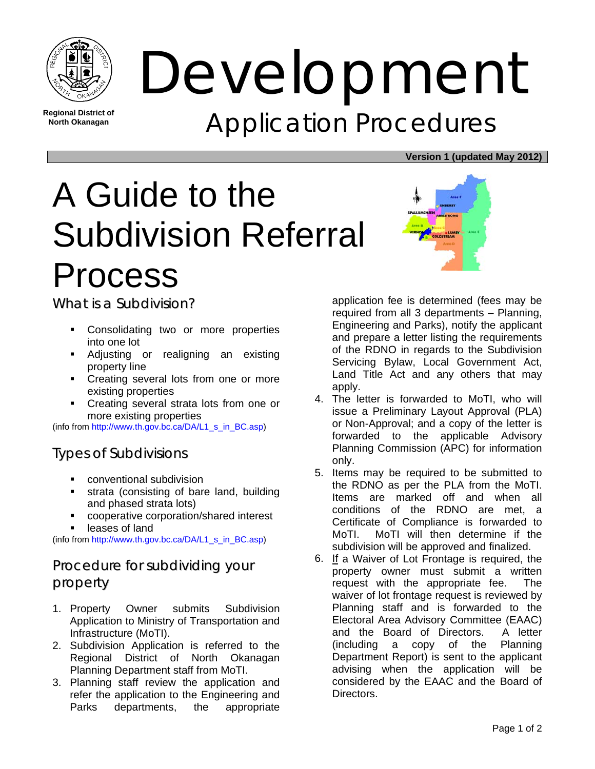

**Regional District of North Okanagan** 

Development Application Procedures

#### **Version 1 (updated May 2012)**

# A Guide to the Subdivision Referral Process

What is a Subdivision?

- Consolidating two or more properties into one lot
- **Adjusting or realigning an existing** property line
- Creating several lots from one or more existing properties
- Creating several strata lots from one or more existing properties

(info from http://www.th.gov.bc.ca/DA/L1\_s\_in\_BC.asp)

## Types of Subdivisions

- conventional subdivision
- strata (consisting of bare land, building and phased strata lots)
- cooperative corporation/shared interest
- leases of land

(info from http://www.th.gov.bc.ca/DA/L1\_s\_in\_BC.asp)

## Procedure for subdividing your property

- 1. Property Owner submits Subdivision Application to Ministry of Transportation and Infrastructure (MoTI).
- 2. Subdivision Application is referred to the Regional District of North Okanagan Planning Department staff from MoTI.
- 3. Planning staff review the application and refer the application to the Engineering and Parks departments, the appropriate



application fee is determined (fees may be required from all 3 departments – Planning, Engineering and Parks), notify the applicant and prepare a letter listing the requirements of the RDNO in regards to the Subdivision Servicing Bylaw, Local Government Act, Land Title Act and any others that may apply.

- 4. The letter is forwarded to MoTI, who will issue a Preliminary Layout Approval (PLA) or Non-Approval; and a copy of the letter is forwarded to the applicable Advisory Planning Commission (APC) for information only.
- 5. Items may be required to be submitted to the RDNO as per the PLA from the MoTI. Items are marked off and when all conditions of the RDNO are met, a Certificate of Compliance is forwarded to MoTI. MoTI will then determine if the subdivision will be approved and finalized.
- 6. If a Waiver of Lot Frontage is required, the property owner must submit a written request with the appropriate fee. The waiver of lot frontage request is reviewed by Planning staff and is forwarded to the Electoral Area Advisory Committee (EAAC) and the Board of Directors. A letter (including a copy of the Planning Department Report) is sent to the applicant advising when the application will be considered by the EAAC and the Board of Directors.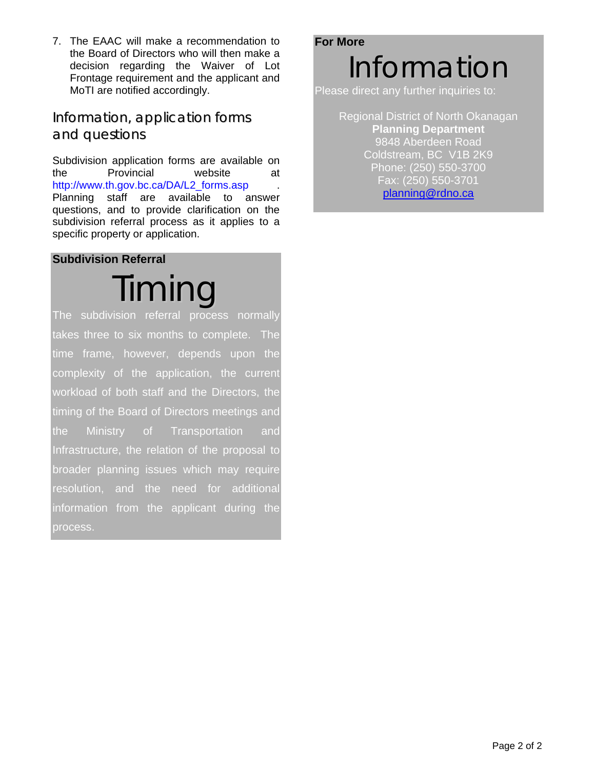7. The EAAC will make a recommendation to the Board of Directors who will then make a decision regarding the Waiver of Lot Frontage requirement and the applicant and MoTI are notified accordingly.

#### Information, application forms and questions

Subdivision application forms are available on the Provincial website at http://www.th.gov.bc.ca/DA/L2\_forms.asp . Planning staff are available to answer questions, and to provide clarification on the subdivision referral process as it applies to a specific property or application.

#### **Subdivision Referral**

Timing The subdivision referral process normally takes three to six months to complete. The time frame, however, depends upon the complexity of the application, the current workload of both staff and the Directors, the timing of the Board of Directors meetings and the Ministry of Transportation and Infrastructure, the relation of the proposal to broader planning issues which may require resolution, and the need for additional information from the applicant during the process.

# **For More** Information

Please direct any further inquiries to:

Regional District of North Okanagan **Planning Department**  9848 Aberdeen Road Coldstream, BC V1B 2K9 Phone: (250) 550-3700 Fax: (250) 550-3701 planning@rdno.ca